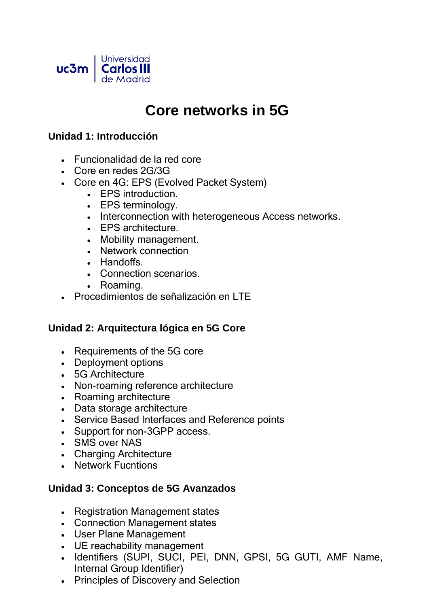

# **Core networks in 5G**

#### **Unidad 1: Introducción**

- Funcionalidad de la red core
- Core en redes 2G/3G
- Core en 4G: EPS (Evolved Packet System)
	- EPS introduction.
	- EPS terminology.
	- Interconnection with heterogeneous Access networks.
	- EPS architecture.
	- Mobility management.
	- Network connection
	- Handoffs.
	- Connection scenarios.
	- Roaming.
- Procedimientos de señalización en LTE

#### **Unidad 2: Arquitectura lógica en 5G Core**

- Requirements of the 5G core
- Deployment options
- 5G Architecture
- Non-roaming reference architecture
- Roaming architecture
- Data storage architecture
- Service Based Interfaces and Reference points
- Support for non-3GPP access.
- SMS over NAS
- Charging Architecture
- Network Fucntions

#### **Unidad 3: Conceptos de 5G Avanzados**

- Registration Management states
- Connection Management states
- User Plane Management
- UE reachability management
- Identifiers (SUPI, SUCI, PEI, DNN, GPSI, 5G GUTI, AMF Name, Internal Group Identifier)
- Principles of Discovery and Selection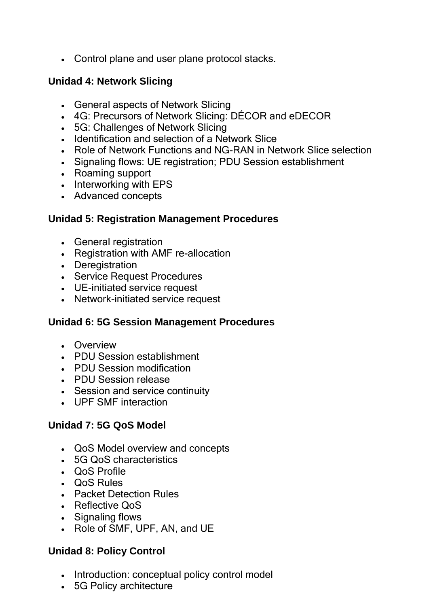• Control plane and user plane protocol stacks.

### **Unidad 4: Network Slicing**

- General aspects of Network Slicing
- 4G: Precursors of Network Slicing: DÉCOR and eDECOR
- 5G: Challenges of Network Slicing
- Identification and selection of a Network Slice
- Role of Network Functions and NG-RAN in Network Slice selection
- Signaling flows: UE registration; PDU Session establishment
- Roaming support
- Interworking with EPS
- Advanced concepts

#### **Unidad 5: Registration Management Procedures**

- General registration
- Registration with AMF re-allocation
- Deregistration
- Service Request Procedures
- UE-initiated service request
- Network-initiated service request

#### **Unidad 6: 5G Session Management Procedures**

- Overview
- PDU Session establishment
- PDU Session modification
- PDU Session release
- Session and service continuity
- UPF SMF interaction

#### **Unidad 7: 5G QoS Model**

- QoS Model overview and concepts
- 5G QoS characteristics
- QoS Profile
- QoS Rules
- Packet Detection Rules
- Reflective QoS
- Signaling flows
- Role of SMF, UPF, AN, and UE

## **Unidad 8: Policy Control**

- Introduction: conceptual policy control model
- 5G Policy architecture